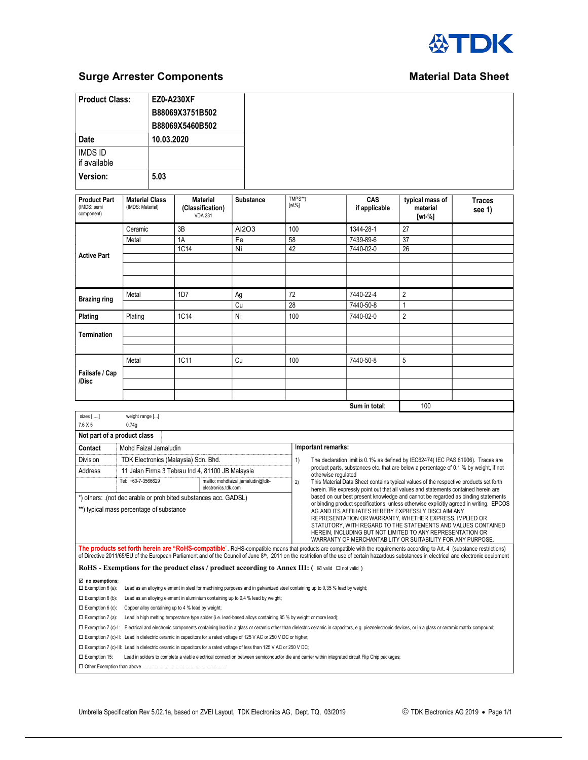

## **Surge Arrester Components** Material Data Sheet

| <b>Product Class:</b> | <b>EZ0-A230XF</b> |
|-----------------------|-------------------|
|                       | B88069X3751B502   |
|                       | B88069X5460B502   |
| Date                  | 10.03.2020        |
| <b>IMDS ID</b>        |                   |
| if available          |                   |
| Version:              | 5.03              |
|                       |                   |

| <b>Product Part</b><br>(IMDS: semi<br>component) | <b>Material Class</b><br>(IMDS: Material) | <b>Material</b><br>(Classification)<br><b>VDA 231</b> | <b>Substance</b> | TMPS**)<br>$[wt\%]$ | CAS<br>if applicable | typical mass of<br>material<br>[wt-%] | <b>Traces</b><br>see 1) |
|--------------------------------------------------|-------------------------------------------|-------------------------------------------------------|------------------|---------------------|----------------------|---------------------------------------|-------------------------|
|                                                  | Ceramic                                   | 3B                                                    | AI2O3            | 100                 | 1344-28-1            | 27                                    |                         |
|                                                  | Metal                                     | 1A                                                    | Fe               | 58                  | 7439-89-6            | 37                                    |                         |
| <b>Active Part</b>                               |                                           | 1C14                                                  | Ni               | 42                  | 7440-02-0            | 26                                    |                         |
|                                                  |                                           |                                                       |                  |                     |                      |                                       |                         |
|                                                  | Metal                                     | 1D7                                                   | Ag               | 72                  | 7440-22-4            | $\overline{2}$                        |                         |
| <b>Brazing ring</b>                              |                                           |                                                       | Cu               | 28                  | 7440-50-8            | 1                                     |                         |
| Plating                                          | Plating                                   | 1C14                                                  | Ni               | 100                 | 7440-02-0            | $\overline{2}$                        |                         |
| <b>Termination</b>                               |                                           |                                                       |                  |                     |                      |                                       |                         |
|                                                  |                                           |                                                       |                  |                     |                      |                                       |                         |
|                                                  | Metal                                     | 1C11                                                  | Cu               | 100                 | 7440-50-8            | 5                                     |                         |
| Failsafe / Cap                                   |                                           |                                                       |                  |                     |                      |                                       |                         |
| /Disc                                            |                                           |                                                       |                  |                     |                      |                                       |                         |
|                                                  |                                           |                                                       |                  |                     |                      |                                       |                         |

|                                                                                                             |                             |                                                                                                                                                                                                                                                                                                                                                                                         |                                                                                 | Sum in total:                                                                                                                                                                                                                                                                                                                                                                                                                                                                               | 100                                                                                                                                                                         |  |  |
|-------------------------------------------------------------------------------------------------------------|-----------------------------|-----------------------------------------------------------------------------------------------------------------------------------------------------------------------------------------------------------------------------------------------------------------------------------------------------------------------------------------------------------------------------------------|---------------------------------------------------------------------------------|---------------------------------------------------------------------------------------------------------------------------------------------------------------------------------------------------------------------------------------------------------------------------------------------------------------------------------------------------------------------------------------------------------------------------------------------------------------------------------------------|-----------------------------------------------------------------------------------------------------------------------------------------------------------------------------|--|--|
| sizes $[]$                                                                                                  | weight range []             |                                                                                                                                                                                                                                                                                                                                                                                         |                                                                                 |                                                                                                                                                                                                                                                                                                                                                                                                                                                                                             |                                                                                                                                                                             |  |  |
| $7.6\times 5$                                                                                               | 0.74a                       |                                                                                                                                                                                                                                                                                                                                                                                         |                                                                                 |                                                                                                                                                                                                                                                                                                                                                                                                                                                                                             |                                                                                                                                                                             |  |  |
|                                                                                                             | Not part of a product class |                                                                                                                                                                                                                                                                                                                                                                                         |                                                                                 |                                                                                                                                                                                                                                                                                                                                                                                                                                                                                             |                                                                                                                                                                             |  |  |
| Contact                                                                                                     | Mohd Faizal Jamaludin       |                                                                                                                                                                                                                                                                                                                                                                                         |                                                                                 | Important remarks:                                                                                                                                                                                                                                                                                                                                                                                                                                                                          |                                                                                                                                                                             |  |  |
| <b>Division</b><br>TDK Electronics (Malaysia) Sdn. Bhd.                                                     |                             | 1)                                                                                                                                                                                                                                                                                                                                                                                      | The declaration limit is 0.1% as defined by IEC62474(IEC PAS 61906). Traces are |                                                                                                                                                                                                                                                                                                                                                                                                                                                                                             |                                                                                                                                                                             |  |  |
| Address                                                                                                     |                             | 11 Jalan Firma 3 Tebrau Ind 4, 81100 JB Malaysia                                                                                                                                                                                                                                                                                                                                        |                                                                                 | otherwise regulated                                                                                                                                                                                                                                                                                                                                                                                                                                                                         | product parts, substances etc. that are below a percentage of 0.1 % by weight, if not                                                                                       |  |  |
|                                                                                                             | Tel: +60-7-3566629          | mailto: mohdfaizal.jamaludin@tdk-<br>electronics.tdk.com                                                                                                                                                                                                                                                                                                                                | 2)                                                                              |                                                                                                                                                                                                                                                                                                                                                                                                                                                                                             | This Material Data Sheet contains typical values of the respective products set forth<br>herein. We expressly point out that all values and statements contained herein are |  |  |
| *) others: (not declarable or prohibited substances acc. GADSL)<br>**) typical mass percentage of substance |                             |                                                                                                                                                                                                                                                                                                                                                                                         |                                                                                 | based on our best present knowledge and cannot be regarded as binding statements<br>or binding product specifications, unless otherwise explicitly agreed in writing. EPCOS<br>AG AND ITS AFFILIATES HEREBY EXPRESSLY DISCLAIM ANY<br>REPRESENTATION OR WARRANTY, WHETHER EXPRESS, IMPLIED OR<br>STATUTORY, WITH REGARD TO THE STATEMENTS AND VALUES CONTAINED<br>HEREIN, INCLUDING BUT NOT LIMITED TO ANY REPRESENTATION OR<br>WARRANTY OF MERCHANTABILITY OR SUITABILITY FOR ANY PURPOSE. |                                                                                                                                                                             |  |  |
|                                                                                                             |                             | The products set forth herein are "RoHS-compatible". RoHS-compatible means that products are compatible with the requirements according to Art. 4 (substance restrictions)<br>of Directive 2011/65/EU of the European Parliament and of the Council of June 8 <sup>th</sup> , 2011 on the restriction of the use of certain hazardous substances in electrical and electronic equipment |                                                                                 |                                                                                                                                                                                                                                                                                                                                                                                                                                                                                             |                                                                                                                                                                             |  |  |
|                                                                                                             |                             | <b>RoHS</b> - <b>Exemptions for the product class</b> / <b>product according to Annex III:</b> $( \Box$ valid $\Box$ not valid)                                                                                                                                                                                                                                                         |                                                                                 |                                                                                                                                                                                                                                                                                                                                                                                                                                                                                             |                                                                                                                                                                             |  |  |
| $\boxtimes$ no exemptions;<br>$\Box$ Exemption 6 (a):                                                       |                             | Lead as an alloying element in steel for machining purposes and in galvanized steel containing up to 0,35 % lead by weight;                                                                                                                                                                                                                                                             |                                                                                 |                                                                                                                                                                                                                                                                                                                                                                                                                                                                                             |                                                                                                                                                                             |  |  |
|                                                                                                             |                             | ET Expanding A (b). In the discussion of production displacement contribution of the A AN Todal Expanding.                                                                                                                                                                                                                                                                              |                                                                                 |                                                                                                                                                                                                                                                                                                                                                                                                                                                                                             |                                                                                                                                                                             |  |  |

 $\square$  Exemption 6 (b): Lead as an alloying element in aluminium containing up to 0,4 % lead by weight;

 $\square$  Exemption 6 (c): Copper alloy containing up to 4 % lead by weight;

Exemption 7 (a): Lead in high melting temperature type solder (i.e. lead-based alloys containing 85 % by weight or more lead);

Exemption 7 (c)-I: Electrical and electronic components containing lead in a glass or ceramic other than dielectric ceramic in capacitors, e.g. piezoelectronic devices, or in a glass or ceramic matrix compound;

Exemption 7 (c)-II: Lead in dielectric ceramic in capacitors for a rated voltage of 125 V AC or 250 V DC or higher;

Exemption 7 (c)-III: Lead in dielectric ceramic in capacitors for a rated voltage of less than 125 V AC or 250 V DC;

Exemption 15: Lead in solders to complete a viable electrical connection between semiconductor die and carrier within integrated circuit Flip Chip packages;

□ Other Exemption than above ..........